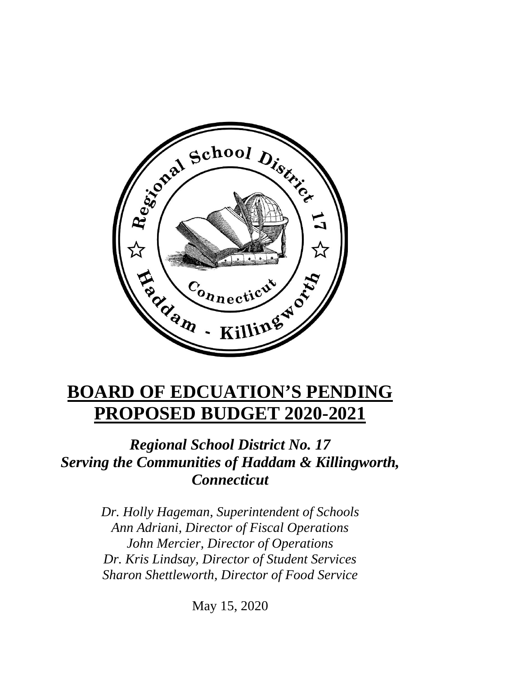

# **BOARD OF EDCUATION'S PENDING PROPOSED BUDGET 2020-2021**

# *Regional School District No. 17 Serving the Communities of Haddam & Killingworth, Connecticut*

*Dr. Holly Hageman, Superintendent of Schools Ann Adriani, Director of Fiscal Operations John Mercier, Director of Operations Dr. Kris Lindsay, Director of Student Services Sharon Shettleworth, Director of Food Service*

May 15, 2020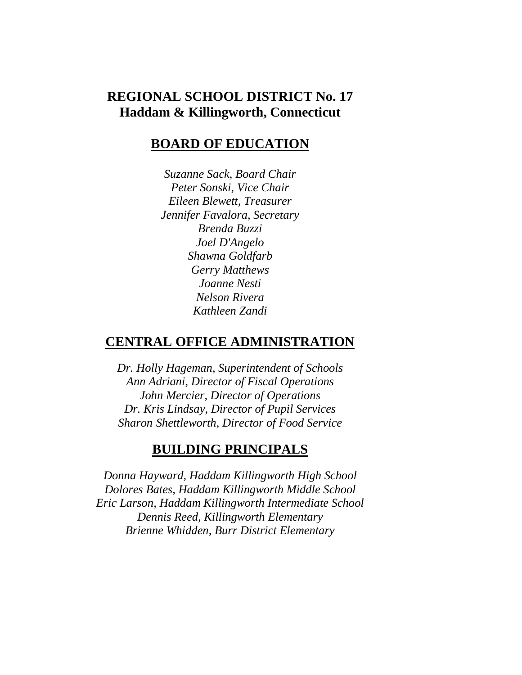### **REGIONAL SCHOOL DISTRICT No. 17 Haddam & Killingworth, Connecticut**

#### **BOARD OF EDUCATION**

*Suzanne Sack, Board Chair Peter Sonski, Vice Chair Eileen Blewett, Treasurer Jennifer Favalora, Secretary Brenda Buzzi Joel D'Angelo Shawna Goldfarb Gerry Matthews Joanne Nesti Nelson Rivera Kathleen Zandi*

#### **CENTRAL OFFICE ADMINISTRATION**

*Dr. Holly Hageman, Superintendent of Schools Ann Adriani, Director of Fiscal Operations John Mercier, Director of Operations Dr. Kris Lindsay, Director of Pupil Services Sharon Shettleworth, Director of Food Service*

#### **BUILDING PRINCIPALS**

*Donna Hayward, Haddam Killingworth High School Dolores Bates, Haddam Killingworth Middle School Eric Larson, Haddam Killingworth Intermediate School Dennis Reed, Killingworth Elementary Brienne Whidden, Burr District Elementary*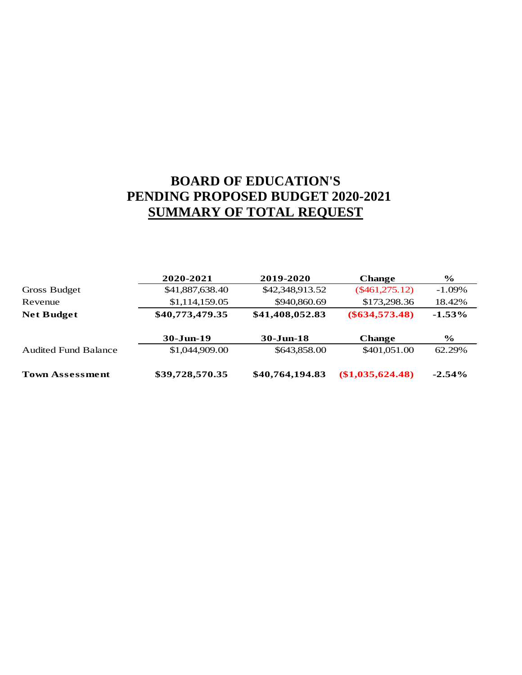# **BOARD OF EDUCATION'S PENDING PROPOSED BUDGET 2020-2021 SUMMARY OF TOTAL REQUEST**

|                             | 2020-2021       | 2019-2020       | <b>Change</b>      | $\frac{6}{9}$ |
|-----------------------------|-----------------|-----------------|--------------------|---------------|
| Gross Budget                | \$41,887,638.40 | \$42,348,913.52 | $(\$461,275.12)$   | $-1.09\%$     |
| Revenue                     | \$1,114,159.05  | \$940,860.69    | \$173,298.36       | 18.42%        |
| <b>Net Budget</b>           | \$40,773,479.35 | \$41,408,052.83 | $(\$634,573.48)$   | $-1.53\%$     |
|                             | $30 - Jun-19$   | $30 - Jun-18$   | <b>Change</b>      | $\frac{6}{9}$ |
| <b>Audited Fund Balance</b> | \$1,044,909.00  | \$643,858.00    | \$401,051.00       | 62.29%        |
| <b>Town Assessment</b>      | \$39,728,570.35 | \$40,764,194.83 | $(\$1,035,624.48)$ | $-2.54\%$     |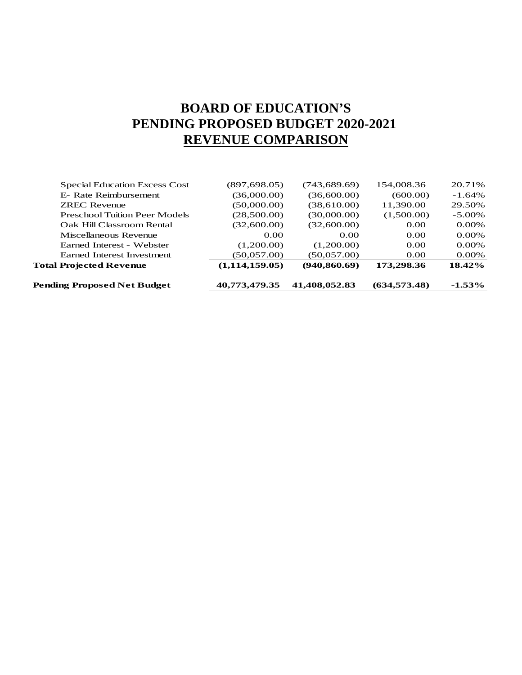# **BOARD OF EDUCATION'S PENDING PROPOSED BUDGET 2020-2021 REVENUE COMPARISON**

| Pending Proposed Net Budget          | 40,773,479.35  | 41,408,052.83 | (634.573.48) | $-1.53\%$ |
|--------------------------------------|----------------|---------------|--------------|-----------|
| <b>Total Projected Revenue</b>       | (1,114,159.05) | (940.860.69)  | 173,298.36   | $18.42\%$ |
| Earned Interest Investment           | (50,057,00)    | (50,057,00)   | 0.00         | $0.00\%$  |
| Earned Interest - Webster            | (1,200.00)     | (1,200.00)    | 0.00         | $0.00\%$  |
| Miscellaneous Revenue                | 0.00           | 0.00          | 0.00         | $0.00\%$  |
| Oak Hill Classroom Rental            | (32,600.00)    | (32,600.00)   | 0.00         | 0.00%     |
| <b>Preschool Tuition Peer Models</b> | (28,500.00)    | (30,000.00)   | (1,500.00)   | $-5.00\%$ |
| <b>ZREC Revenue</b>                  | (50,000.00)    | (38,610.00)   | 11,390.00    | 29.50%    |
| E- Rate Reimbursement                | (36,000.00)    | (36,600.00)   | (600.00)     | $-1.64\%$ |
| <b>Special Education Excess Cost</b> | (897, 698.05)  | (743,689.69)  | 154,008.36   | 20.71%    |
|                                      |                |               |              |           |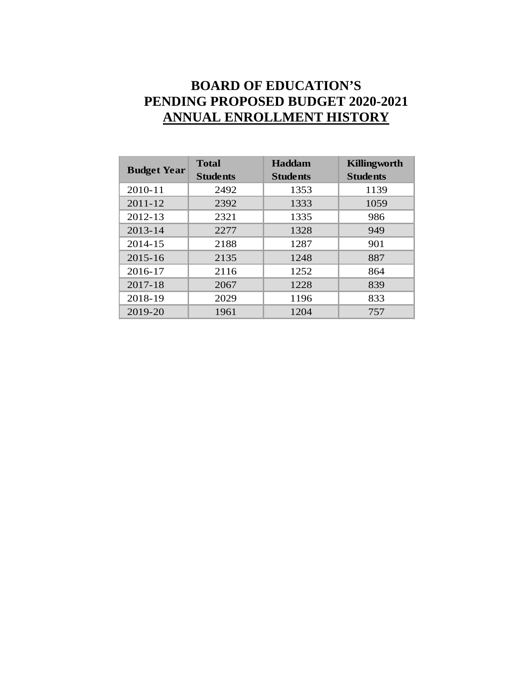# **BOARD OF EDUCATION'S PENDING PROPOSED BUDGET 2020-2021 ANNUAL ENROLLMENT HISTORY**

|                    | <b>Total</b>    | <b>Haddam</b>   | Killingworth    |
|--------------------|-----------------|-----------------|-----------------|
| <b>Budget Year</b> | <b>Students</b> | <b>Students</b> | <b>Students</b> |
| 2010-11            | 2492            | 1353            | 1139            |
| $2011 - 12$        | 2392            | 1333            | 1059            |
| 2012-13            | 2321            | 1335            | 986             |
| $2013 - 14$        | 2277            | 1328            | 949             |
| 2014-15            | 2188            | 1287            | 901             |
| $2015 - 16$        | 2135            | 1248            | 887             |
| 2016-17            | 2116            | 1252            | 864             |
| 2017-18            | 2067            | 1228            | 839             |
| 2018-19            | 2029            | 1196            | 833             |
| 2019-20            | 1961            | 1204            | 757             |